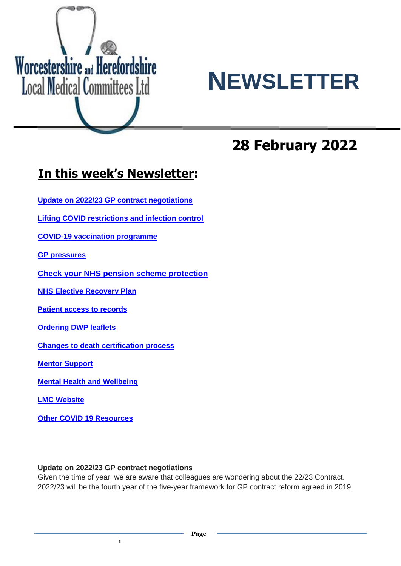



# **28 February 2022**

# **In this week's Newsletter:**

**Update on 2022/23 GP contract negotiations**

**Lifting COVID restrictions and infection control**

**COVID-19 vaccination programme**

**GP pressures**

**[Check your NHS pension scheme protection](https://bma-mail.org.uk/t/JVX-7OXDH-ZIK0ZJ-4OFXO2-1/c.aspx)**

**NHS Elective Recovery Plan**

**Patient access to records**

**Ordering DWP leaflets**

**Changes to death certification process**

**Mentor Support**

**Mental Health and Wellbeing**

**LMC Website**

**Other COVID 19 Resources**

#### **Update on 2022/23 GP contract negotiations**

**1**

Given the time of year, we are aware that colleagues are wondering about the 22/23 Contract. 2022/23 will be the fourth year of the five-year framework for GP contract reform agreed in 2019.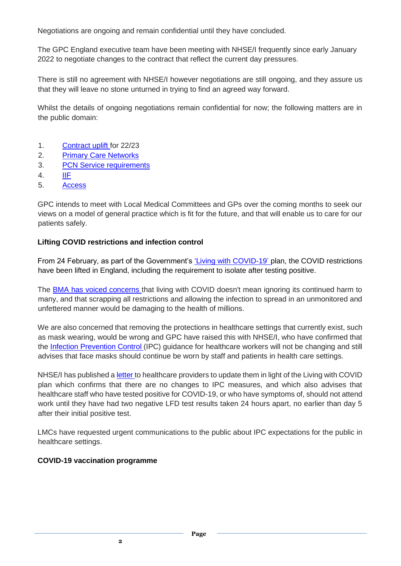Negotiations are ongoing and remain confidential until they have concluded.

The GPC England executive team have been meeting with NHSE/I frequently since early January 2022 to negotiate changes to the contract that reflect the current day pressures.

There is still no agreement with NHSE/I however negotiations are still ongoing, and they assure us that they will leave no stone unturned in trying to find an agreed way forward.

Whilst the details of ongoing negotiations remain confidential for now; the following matters are in the public domain:

- 1. [Contract uplift](https://www.england.nhs.uk/wp-content/uploads/2019/01/gp-contract-2019.pdf) for 22/23
- 2. [Primary Care Networks](https://www.england.nhs.uk/wp-content/uploads/2021/08/B0828-i-gp-contract-letter-pvns-21-22-and-22-23.pdf)
- 3. [PCN Service requirements](https://www.england.nhs.uk/wp-content/uploads/2021/08/B0828-ii-annex-a-pcn-plans-for-21-22-and-22-23.pdf)
- 4. [IIF](https://www.england.nhs.uk/wp-content/uploads/2021/08/B0828-iii-annex-b-investment-and-impact-fund-21-22-22-23.pdf)
- 5. [Access](https://www.england.nhs.uk/wp-content/uploads/2021/08/B0828-i-gp-contract-letter-pvns-21-22-and-22-23.pdf)

GPC intends to meet with Local Medical Committees and GPs over the coming months to seek our views on a model of general practice which is fit for the future, and that will enable us to care for our patients safely.

#### **Lifting COVID restrictions and infection control**

From 24 February, as part of the Government's ['Living](https://www.gov.uk/government/publications/covid-19-response-living-with-covid-19) [with](https://www.gov.uk/government/publications/covid-19-response-living-with-covid-19) [COVID-19'](https://www.gov.uk/government/publications/covid-19-response-living-with-covid-19) plan, the COVID restrictions have been lifted in England, including the requirement to isolate after testing positive.

The [BMA](https://www.bma.org.uk/bma-media-centre/living-with-covid-doesn-t-mean-ignoring-it-says-bma-ahead-of-final-government-plan) [has](https://www.bma.org.uk/bma-media-centre/living-with-covid-doesn-t-mean-ignoring-it-says-bma-ahead-of-final-government-plan) [voiced](https://www.bma.org.uk/bma-media-centre/living-with-covid-doesn-t-mean-ignoring-it-says-bma-ahead-of-final-government-plan) [concerns](https://www.bma.org.uk/bma-media-centre/living-with-covid-doesn-t-mean-ignoring-it-says-bma-ahead-of-final-government-plan) that living with COVID doesn't mean ignoring its continued harm to many, and that scrapping all restrictions and allowing the infection to spread in an unmonitored and unfettered manner would be damaging to the health of millions.

We are also concerned that removing the protections in healthcare settings that currently exist, such as mask wearing, would be wrong and GPC have raised this with NHSE/I, who have confirmed that the [Infection](https://www.gov.uk/government/publications/wuhan-novel-coronavirus-infection-prevention-and-control) [Prevention](https://www.gov.uk/government/publications/wuhan-novel-coronavirus-infection-prevention-and-control) [Control](https://www.gov.uk/government/publications/wuhan-novel-coronavirus-infection-prevention-and-control) (IPC) guidance for healthcare workers will not be changing and still advises that face masks should continue be worn by staff and patients in health care settings.

NHSE/I has published a [letter](https://www.england.nhs.uk/coronavirus/publication/living-with-covid-19-white-paper-update/) to healthcare providers to update them in light of the Living with COVID plan which confirms that there are no changes to IPC measures, and which also advises that healthcare staff who have tested positive for COVID-19, or who have symptoms of, should not attend work until they have had two negative LFD test results taken 24 hours apart, no earlier than day 5 after their initial positive test.

LMCs have requested urgent communications to the public about IPC expectations for the public in healthcare settings.

#### **COVID-19 vaccination programme**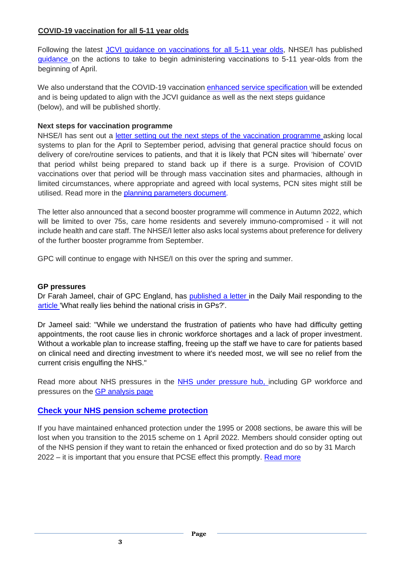#### **COVID-19 vaccination for all 5-11 year olds**

Following the latest [JCVI](https://www.gov.uk/government/publications/jcvi-update-on-advice-for-covid-19-vaccination-of-children-aged-5-to-11/jcvi-statement-on-vaccination-of-children-aged-5-to-11-years-old) [guidance](https://www.gov.uk/government/publications/jcvi-update-on-advice-for-covid-19-vaccination-of-children-aged-5-to-11/jcvi-statement-on-vaccination-of-children-aged-5-to-11-years-old) [on](https://www.gov.uk/government/publications/jcvi-update-on-advice-for-covid-19-vaccination-of-children-aged-5-to-11/jcvi-statement-on-vaccination-of-children-aged-5-to-11-years-old) [vaccinations](https://www.gov.uk/government/publications/jcvi-update-on-advice-for-covid-19-vaccination-of-children-aged-5-to-11/jcvi-statement-on-vaccination-of-children-aged-5-to-11-years-old) [for](https://www.gov.uk/government/publications/jcvi-update-on-advice-for-covid-19-vaccination-of-children-aged-5-to-11/jcvi-statement-on-vaccination-of-children-aged-5-to-11-years-old) [all](https://www.gov.uk/government/publications/jcvi-update-on-advice-for-covid-19-vaccination-of-children-aged-5-to-11/jcvi-statement-on-vaccination-of-children-aged-5-to-11-years-old) [5-11](https://www.gov.uk/government/publications/jcvi-update-on-advice-for-covid-19-vaccination-of-children-aged-5-to-11/jcvi-statement-on-vaccination-of-children-aged-5-to-11-years-old) [year](https://www.gov.uk/government/publications/jcvi-update-on-advice-for-covid-19-vaccination-of-children-aged-5-to-11/jcvi-statement-on-vaccination-of-children-aged-5-to-11-years-old) [olds,](https://www.gov.uk/government/publications/jcvi-update-on-advice-for-covid-19-vaccination-of-children-aged-5-to-11/jcvi-statement-on-vaccination-of-children-aged-5-to-11-years-old) NHSE/I has published [guidance](https://www.england.nhs.uk/coronavirus/publication/updated-jcvi-advice-for-vaccinating-5-to-11-year-olds/) on the actions to take to begin administering vaccinations to 5-11 year-olds from the beginning of April.

We also understand that the COVID-19 vaccination [enhanced](https://www.england.nhs.uk/coronavirus/publication/enhanced-service-specification-phase-3-coronavirus-vaccination/) [service](https://www.england.nhs.uk/coronavirus/publication/enhanced-service-specification-phase-3-coronavirus-vaccination/) [specification](https://www.england.nhs.uk/coronavirus/publication/enhanced-service-specification-phase-3-coronavirus-vaccination/) will be extended and is being updated to align with the JCVI guidance as well as the next steps guidance (below), and will be published shortly.

#### **Next steps for vaccination programme**

NHSE/I has sent [out](https://www.england.nhs.uk/coronavirus/publication/next-steps-for-the-nhs-covid-19-vaccination-programme-planning-and-delivery/) a *letter [setting](https://www.england.nhs.uk/coronavirus/publication/next-steps-for-the-nhs-covid-19-vaccination-programme-planning-and-delivery/) out [the](https://www.england.nhs.uk/coronavirus/publication/next-steps-for-the-nhs-covid-19-vaccination-programme-planning-and-delivery/) [next](https://www.england.nhs.uk/coronavirus/publication/next-steps-for-the-nhs-covid-19-vaccination-programme-planning-and-delivery/) [steps](https://www.england.nhs.uk/coronavirus/publication/next-steps-for-the-nhs-covid-19-vaccination-programme-planning-and-delivery/) [of](https://www.england.nhs.uk/coronavirus/publication/next-steps-for-the-nhs-covid-19-vaccination-programme-planning-and-delivery/) the [vaccination](https://www.england.nhs.uk/coronavirus/publication/next-steps-for-the-nhs-covid-19-vaccination-programme-planning-and-delivery/) [programme](https://www.england.nhs.uk/coronavirus/publication/next-steps-for-the-nhs-covid-19-vaccination-programme-planning-and-delivery/) asking local* systems to plan for the April to September period, advising that general practice should focus on delivery of core/routine services to patients, and that it is likely that PCN sites will 'hibernate' over that period whilst being prepared to stand back up if there is a surge. Provision of COVID vaccinations over that period will be through mass vaccination sites and pharmacies, although in limited circumstances, where appropriate and agreed with local systems, PCN sites might still be utilised. Read more in the [planning parameters document.](https://www.england.nhs.uk/coronavirus/wp-content/uploads/sites/52/2022/02/C1597-Planning-parameters-for-2022-23.pdf)

The letter also announced that a second booster programme will commence in Autumn 2022, which will be limited to over 75s, care home residents and severely immuno-compromised - it will not include health and care staff. The NHSE/I letter also asks local systems about preference for delivery of the further booster programme from September.

GPC will continue to engage with NHSE/I on this over the spring and summer.

#### **GP pressures**

Dr Farah Jameel, chair of GPC England, has [published](https://www.bma.org.uk/bma-media-centre/bma-letter-to-the-daily-mail-on-gp-pressures) [a](https://www.bma.org.uk/bma-media-centre/bma-letter-to-the-daily-mail-on-gp-pressures) [letter](https://www.bma.org.uk/bma-media-centre/bma-letter-to-the-daily-mail-on-gp-pressures) in the Daily Mail responding to the [article](https://www.dailymail.co.uk/news/article-10525435/Where-GPs-gone-Investigation-exposes-troubling-truth-crisis.html) 'What really lies behind the national crisis in GPs?'.

Dr Jameel said: "While we understand the frustration of patients who have had difficulty getting appointments, the root cause lies in chronic workforce shortages and a lack of proper investment. Without a workable plan to increase staffing, freeing up the staff we have to care for patients based on clinical need and directing investment to where it's needed most, we will see no relief from the current crisis engulfing the NHS."

Read more about [NHS](https://www.bma.org.uk/advice-and-support/nhs-delivery-and-workforce/pressures/an-nhs-under-pressure) pressures in the NHS [under](https://www.bma.org.uk/advice-and-support/nhs-delivery-and-workforce/pressures/an-nhs-under-pressure) [pressure](https://www.bma.org.uk/advice-and-support/nhs-delivery-and-workforce/pressures/an-nhs-under-pressure) [hub,](https://www.bma.org.uk/advice-and-support/nhs-delivery-and-workforce/pressures/an-nhs-under-pressure) including GP workforce and pressures on the **GP** analysis page

### **[Check your NHS pension scheme protection](https://bma-mail.org.uk/t/JVX-7OXDH-ZIK0ZJ-4OFXO2-1/c.aspx)**

If you have maintained enhanced protection under the 1995 or 2008 sections, be aware this will be lost when you transition to the 2015 scheme on 1 April 2022. Members should consider opting out of the NHS pension if they want to retain the enhanced or fixed protection and do so by 31 March 2022 – it is important that you ensure that PCSE effect this promptly. [Read more](https://www.bma.org.uk/pay-and-contracts/pensions/tax/nhs-pension-lifetime-allowance)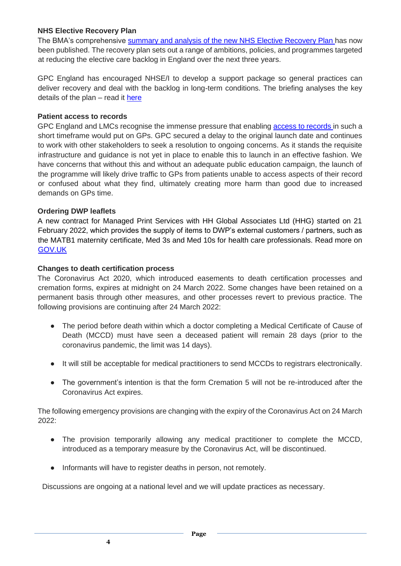#### **NHS Elective Recovery Plan**

The BMA's comprehensive [summary](https://www.bma.org.uk/media/5082/bma-members-briefing-on-the-elective-care-recovery-plan-feb-2022.pdf) [and](https://www.bma.org.uk/media/5082/bma-members-briefing-on-the-elective-care-recovery-plan-feb-2022.pdf) [analysis](https://www.bma.org.uk/media/5082/bma-members-briefing-on-the-elective-care-recovery-plan-feb-2022.pdf) [of](https://www.bma.org.uk/media/5082/bma-members-briefing-on-the-elective-care-recovery-plan-feb-2022.pdf) [the](https://www.bma.org.uk/media/5082/bma-members-briefing-on-the-elective-care-recovery-plan-feb-2022.pdf) [new](https://www.bma.org.uk/media/5082/bma-members-briefing-on-the-elective-care-recovery-plan-feb-2022.pdf) [NHS](https://www.bma.org.uk/media/5082/bma-members-briefing-on-the-elective-care-recovery-plan-feb-2022.pdf) [Elective](https://www.bma.org.uk/media/5082/bma-members-briefing-on-the-elective-care-recovery-plan-feb-2022.pdf) [Recovery](https://www.bma.org.uk/media/5082/bma-members-briefing-on-the-elective-care-recovery-plan-feb-2022.pdf) [Plan](https://www.bma.org.uk/media/5082/bma-members-briefing-on-the-elective-care-recovery-plan-feb-2022.pdf) has now been published. The recovery plan sets out a range of ambitions, policies, and programmes targeted at reducing the elective care backlog in England over the next three years.

GPC England has encouraged NHSE/I to develop a support package so general practices can deliver recovery and deal with the backlog in long-term conditions. The briefing analyses the key details of the plan – read it [here](https://www.bma.org.uk/media/5082/bma-members-briefing-on-the-elective-care-recovery-plan-feb-2022.pdf)

#### **Patient access to records**

GPC England and LMCs recognise the immense pressure that enabling [access](https://digital.nhs.uk/services/nhs-app/nhs-app-guidance-for-gp-practices/accelerating-patient-access-to-their-record) [to](https://digital.nhs.uk/services/nhs-app/nhs-app-guidance-for-gp-practices/accelerating-patient-access-to-their-record) [records](https://digital.nhs.uk/services/nhs-app/nhs-app-guidance-for-gp-practices/accelerating-patient-access-to-their-record) in such a short timeframe would put on GPs. GPC secured a delay to the original launch date and continues to work with other stakeholders to seek a resolution to ongoing concerns. As it stands the requisite infrastructure and guidance is not yet in place to enable this to launch in an effective fashion. We have concerns that without this and without an adequate public education campaign, the launch of the programme will likely drive traffic to GPs from patients unable to access aspects of their record or confused about what they find, ultimately creating more harm than good due to increased demands on GPs time.

#### **Ordering DWP leaflets**

A new contract for Managed Print Services with HH Global Associates Ltd (HHG) started on 21 February 2022, which provides the supply of items to DWP's external customers / partners, such as the MATB1 maternity certificate, Med 3s and Med 10s for health care professionals. Read more on [GOV.UK](https://www.gov.uk/government/collections/dwp-leaflets-and-how-to-order-them#how-to-order-dwp-leaflets)

#### **Changes to death certification process**

**4**

The Coronavirus Act 2020, which introduced easements to death certification processes and cremation forms, expires at midnight on 24 March 2022. Some changes have been retained on a permanent basis through other measures, and other processes revert to previous practice. The following provisions are continuing after 24 March 2022:

- The period before death within which a doctor completing a Medical Certificate of Cause of Death (MCCD) must have seen a deceased patient will remain 28 days (prior to the coronavirus pandemic, the limit was 14 days).
- It will still be acceptable for medical practitioners to send MCCDs to registrars electronically.
- The government's intention is that the form Cremation 5 will not be re-introduced after the Coronavirus Act expires.

The following emergency provisions are changing with the expiry of the Coronavirus Act on 24 March 2022:

- The provision temporarily allowing any medical practitioner to complete the MCCD, introduced as a temporary measure by the Coronavirus Act, will be discontinued.
- Informants will have to register deaths in person, not remotely.

Discussions are ongoing at a national level and we will update practices as necessary.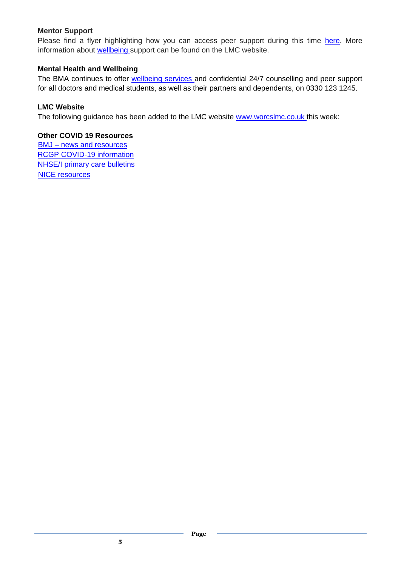#### **Mentor Support**

Please find a flyer highlighting how you can access peer support during this time [here.](https://teamnet.clarity.co.uk/Topics/File/Public/3863a40c-9254-4cfb-b520-ab5a00bc8713/5f8b68b6-aa15-4d2a-be64-ab8300c2ca98/38b68fd8-a8ab-4fa0-b969-ab8e0139d8e8) More information about **wellbeing** support can be found on the LMC website.

#### **Mental Health and Wellbeing**

The BMA continues to offer [wellbeing](https://www.bma.org.uk/advice-and-support/your-wellbeing#wellbeing-support-services) [services](https://www.bma.org.uk/advice-and-support/your-wellbeing#wellbeing-support-services) and confidential 24/7 counselling and peer support for all doctors and medical students, as well as their partners and dependents, on 0330 123 1245.

#### **LMC Website**

The following guidance has been added to the LMC website [www.worcslmc.co.uk](http://www.worcslmc.co.uk/) this week:

#### **Other COVID 19 Resources**

BMJ – [news and resources](https://www.bmj.com/coronavirus) [RCGP COVID-19 information](https://www.rcgp.org.uk/policy/rcgp-policy-areas/covid-19-coronavirus.aspx) [NHSE/I primary care bulletins](https://www.england.nhs.uk/coronavirus/primary-care/other-resources/primary-care-bulletin/) [NICE resources](https://nhsconfed.us16.list-manage.com/track/click?u=feeeed3bba7c179fd3a7ef554&id=0017c62a07&e=d3deb28f87)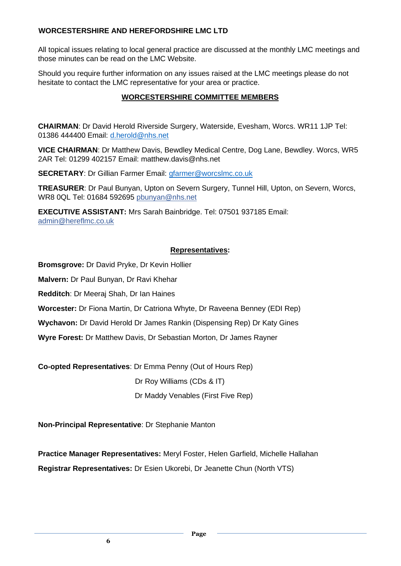#### **WORCESTERSHIRE AND HEREFORDSHIRE LMC LTD**

All topical issues relating to local general practice are discussed at the monthly LMC meetings and those minutes can be read on the LMC Website.

Should you require further information on any issues raised at the LMC meetings please do not hesitate to contact the LMC representative for your area or practice.

# **WORCESTERSHIRE COMMITTEE MEMBERS**

**CHAIRMAN**: Dr David Herold Riverside Surgery, Waterside, Evesham, Worcs. WR11 1JP Tel: 01386 444400 Email: [d.herold@nhs.net](mailto:d.herold@nhs.net)

**VICE CHAIRMAN**: Dr Matthew Davis, Bewdley Medical Centre, Dog Lane, Bewdley. Worcs, WR5 2AR Tel: 01299 402157 Email: matthew.davis@nhs.net

**SECRETARY**: Dr Gillian Farmer Email: [gfarmer@worcslmc.co.uk](mailto:gfarmer@worcslmc.co.uk)

**TREASURER**: Dr Paul Bunyan, Upton on Severn Surgery, Tunnel Hill, Upton, on Severn, Worcs, WR8 0QL Tel: 01684 592695 pbunyan@nhs.net

**EXECUTIVE ASSISTANT:** Mrs Sarah Bainbridge. Tel: 07501 937185 Email: [admin@hereflmc.co.uk](mailto:admin@hereflmc.co.uk)

# **Representatives:**

**Bromsgrove:** Dr David Pryke, Dr Kevin Hollier

**Malvern:** Dr Paul Bunyan, Dr Ravi Khehar

**Redditch**: Dr Meeraj Shah, Dr Ian Haines

**Worcester:** Dr Fiona Martin, Dr Catriona Whyte, Dr Raveena Benney (EDI Rep)

**Wychavon:** Dr David Herold Dr James Rankin (Dispensing Rep) Dr Katy Gines

**Wyre Forest:** Dr Matthew Davis, Dr Sebastian Morton, Dr James Rayner

**Co-opted Representatives**: Dr Emma Penny (Out of Hours Rep)

Dr Roy Williams (CDs & IT)

Dr Maddy Venables (First Five Rep)

**Non-Principal Representative**: Dr Stephanie Manton

**Practice Manager Representatives:** Meryl Foster, Helen Garfield, Michelle Hallahan **Registrar Representatives:** Dr Esien Ukorebi, Dr Jeanette Chun (North VTS)

**Page**